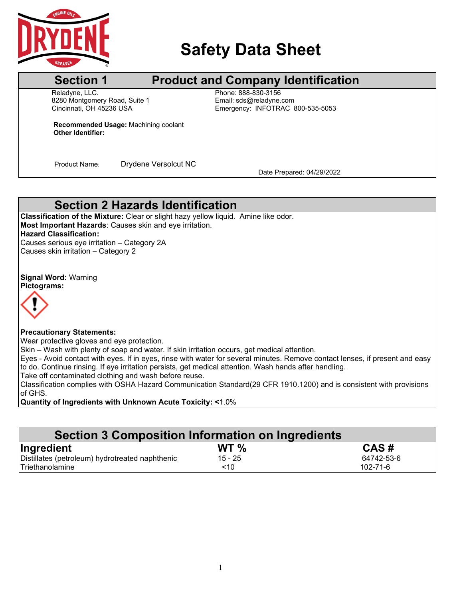

# **Safety Data Sheet**

## **Section 1** Product and Company Identification

Reladyne, LLC.<br>8280 Montgomery Road, Suite 1 Fissue Email: strail: strail: strail: strail: strail: strail: strail: strail: s 8280 Montgomery Road, Suite 1<br>Cincinnati, OH 45236 USA

Emergency: INFOTRAC 800-535-5053

**Recommended Usage:** Machining coolant **Other Identifier:**

Product Name: Drydene Versolcut NC<br>Date Prepared: 04/29/2022

## **Section 2 Hazards Identification**

**Classification of the Mixture:** Clear or slight hazy yellow liquid. Amine like odor. **Most Important Hazards**: Causes skin and eye irritation. **Hazard Classification:** Causes serious eye irritation – Category 2A Causes skin irritation – Category 2

**Signal Word:** Warning **Pictograms:**



#### **Precautionary Statements:**

Wear protective gloves and eye protection.

Skin – Wash with plenty of soap and water. If skin irritation occurs, get medical attention.

Eyes - Avoid contact with eyes. If in eyes, rinse with water for several minutes. Remove contact lenses, if present and easy to do. Continue rinsing. If eye irritation persists, get medical attention. Wash hands after handling.

Take off contaminated clothing and wash before reuse.

Classification complies with OSHA Hazard Communication Standard(29 CFR 1910.1200) and is consistent with provisions of GHS.

**Quantity of Ingredients with Unknown Acute Toxicity: <**1.0%

| Section 3 Composition Information on Ingredients |           |                |
|--------------------------------------------------|-----------|----------------|
| Ingredient                                       | WT $\%$   | CAS#           |
| Distillates (petroleum) hydrotreated naphthenic  | $15 - 25$ | 64742-53-6     |
| Triethanolamine                                  | ~10       | $102 - 71 - 6$ |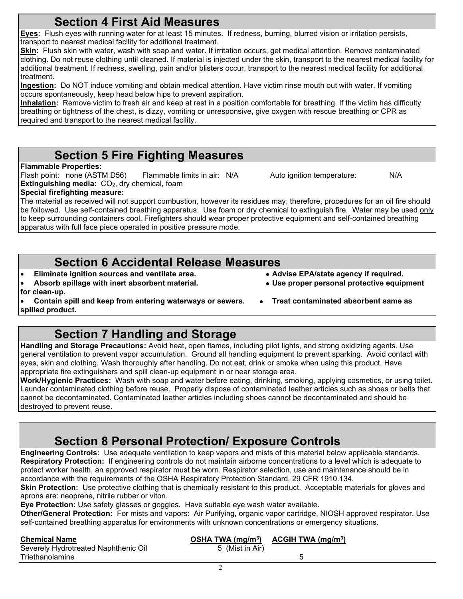| <b>The computer of the computer of the computer of the computer of the product.</b> The computer of<br>aprons are: neoprene, nitrile rubber or viton.<br>Eye Protection: Use safety glasses or goggles. Have suitable eye wash water available.<br>Other/General Protection: For mists and vapors: Air Purifying, organic vapor cartridge, NIOSH |                    |                                     |
|--------------------------------------------------------------------------------------------------------------------------------------------------------------------------------------------------------------------------------------------------------------------------------------------------------------------------------------------------|--------------------|-------------------------------------|
| self-contained breathing apparatus for environments with unknown concentrations or emergency s                                                                                                                                                                                                                                                   |                    |                                     |
| <b>Chemical Name</b>                                                                                                                                                                                                                                                                                                                             | OSHA TWA $(mg/m3)$ | <u>ACGIH TWA (mg/m<sup>3</sup>)</u> |
| Severely Hydrotreated Naphthenic Oil                                                                                                                                                                                                                                                                                                             | 5 (Mist in Air)    |                                     |
| Triethanolamine                                                                                                                                                                                                                                                                                                                                  |                    | 5                                   |
|                                                                                                                                                                                                                                                                                                                                                  |                    |                                     |
|                                                                                                                                                                                                                                                                                                                                                  |                    |                                     |

## **Section 4 First Aid Measures**

**Eyes:** Flush eyes with running water for at least 15 minutes. If redness, burning, blurred vision or irritation persists, transport to nearest medical facility for additional treatment.

**Skin:** Flush skin with water, wash with soap and water. If irritation occurs, get medical attention. Remove contaminated clothing. Do not reuse clothing until cleaned. If material is injected under the skin, transport to the nearest medical facility for additional treatment. If redness, swelling, pain and/or blisters occur, transport to the nearest medical facility for additional treatment.

**Ingestion:** Do NOT induce vomiting and obtain medical attention. Have victim rinse mouth out with water. If vomiting occurs spontaneously, keep head below hips to prevent aspiration.

**Inhalation:** Remove victim to fresh air and keep at rest in a position comfortable for breathing. If the victim has difficulty breathing or tightness of the chest, is dizzy, vomiting or unresponsive, give oxygen with rescue breathing or CPR as required and transport to the nearest medical facility.

## **Section 5 Fire Fighting Measures**

### **Flammable Properties:**

Flash point: none (ASTM D56) Flammable limits in air: N/A Auto ignition temperature: N/A **Extinguishing media:** CO<sub>2</sub>, dry chemical, foam

#### **Special firefighting measure:**

The material as received will not support combustion, however its residues may; therefore, procedures for an oil fire should be followed. Use self-contained breathing apparatus. Use foam or dry chemical to extinguish fire. Water may be used only to keep surrounding containers cool. Firefighters should wear proper protective equipment and self-contained breathing apparatus with full face piece operated in positive pressure mode.

## **Section 6 Accidental Release Measures**

- **Eliminate ignition sources and ventilate area. Advise EPA/state agency if required.**
- **Absorb spillage with inert absorbent material. Use proper personal protective equipment for clean-up.**
	- **Contain spill and keep from entering waterways or sewers. Treat contaminated absorbent same as**
- **spilled product.**

# **Section 7 Handling and Storage**

**Handling and Storage Precautions:** Avoid heat, open flames, including pilot lights, and strong oxidizing agents. Use general ventilation to prevent vapor accumulation. Ground all handling equipment to prevent sparking. Avoid contact with eyes, skin and clothing. Wash thoroughly after handling. Do not eat, drink or smoke when using this product. Have appropriate fire extinguishers and spill clean-up equipment in or near storage area.

**Work/Hygienic Practices:** Wash with soap and water before eating, drinking, smoking, applying cosmetics, or using toilet. Launder contaminated clothing before reuse. Properly dispose of contaminated leather articles such as shoes or belts that cannot be decontaminated. Contaminated leather articles including shoes cannot be decontaminated and should be destroyed to prevent reuse.

# **Section 8 Personal Protection/ Exposure Controls**

**Engineering Controls:** Use adequate ventilation to keep vapors and mists of this material below applicable standards. **Respiratory Protection:** If engineering controls do not maintain airborne concentrations to a level which is adequate to protect worker health, an approved respirator must be worn. Respirator selection, use and maintenance should be in accordance with the requirements of the OSHA Respiratory Protection Standard, 29 CFR 1910.134.

**Skin Protection:** Use protective clothing that is chemically resistant to this product. Acceptable materials for gloves and aprons are: neoprene, nitrile rubber or viton. aprons are: neoprene, nitrile rubber or viton.

**Other/General Protection:** For mists and vapors: Air Purifying, organic vapor cartridge, NIOSH approved respirator. Use self-contained breathing apparatus for environments with unknown concentrations or emergency situatio self-contained breathing apparatus for environments with unknown concentrations or emergency situations.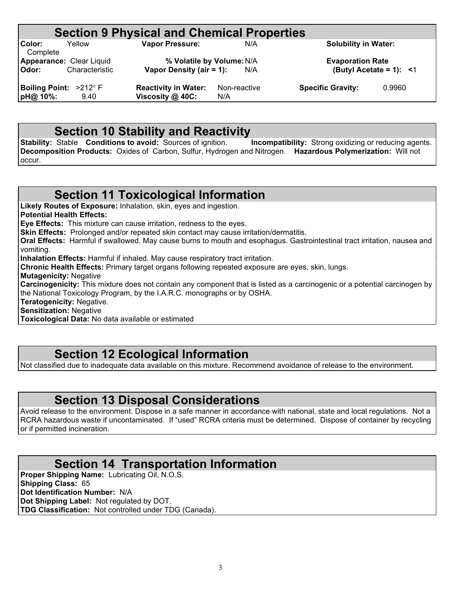|                                    |                | <b>Section 9 Physical and Chemical Properties</b>     |                     |     |                                                       |        |
|------------------------------------|----------------|-------------------------------------------------------|---------------------|-----|-------------------------------------------------------|--------|
| Color:<br>Complete                 | Yellow         | <b>Vapor Pressure:</b>                                |                     | N/A | <b>Solubility in Water:</b>                           |        |
| Appearance: Clear Liquid<br>Odor:  | Characteristic | % Volatile by Volume: N/A<br>Vapor Density (air = 1): |                     | N/A | <b>Evaporation Rate</b><br>(Butyl Acetate = 1): $<$ 1 |        |
| Boiling Point: >212° F<br>pH@ 10%: | 9.40           | <b>Reactivity in Water:</b><br>Viscosity @ 40C:       | Non-reactive<br>N/A |     | <b>Specific Gravity:</b>                              | 0.9960 |

**Section 10 Stability and Reactivity**<br>Stable Conditions to avoid: Sources of ignition. Incompatibility: Strong oxidizing or reducing agents. **Stability: Stable Conditions to avoid:** Sources of ignition. **Decomposition Products:** Oxides of Carbon, Sulfur, Hydrogen and Nitrogen. **Hazardous Polymerization:** Will not occur.

## **Section 11 Toxicological Information**

**Likely Routes of Exposure:** Inhalation, skin, eyes and ingestion.

**Potential Health Effects:**

**Eye Effects:** This mixture can cause irritation, redness to the eyes.

**Skin Effects:** Prolonged and/or repeated skin contact may cause irritation/dermatitis.

**Oral Effects:** Harmful if swallowed. May cause burns to mouth and esophagus. Gastrointestinal tract irritation, nausea and vomiting.

**Inhalation Effects:** Harmful if inhaled. May cause respiratory tract irritation.

**Chronic Health Effects:** Primary target organs following repeated exposure are eyes, skin, lungs.

**Mutagenicity:** Negative

**Carcinogenicity:** This mixture does not contain any component that is listed as a carcinogenic or a potential carcinogen by the National Toxicology Program, by the I.A.R.C. monographs or by OSHA.

**Teratogenicity:** Negative.

**Sensitization:** Negative

**Toxicological Data:** No data available or estimated

## **Section 12 Ecological Information**

Not classified due to inadequate data available on this mixture. Recommend avoidance of release to the environment.

## **Section 13 Disposal Considerations**

Avoid release to the environment. Dispose in a safe manner in accordance with national, state and local regulations. Not a RCRA hazardous waste if uncontaminated. If "used" RCRA criteria must be determined. Dispose of container by recycling or if permitted incineration.

### **Section 14 Transportation Information**

**Proper Shipping Name:** Lubricating Oil, N.O.S. **Shipping Class:** 65 **Dot Identification Number:** N/A **Dot Shipping Label:** Not regulated by DOT. **TDG Classification:** Not controlled under TDG (Canada).